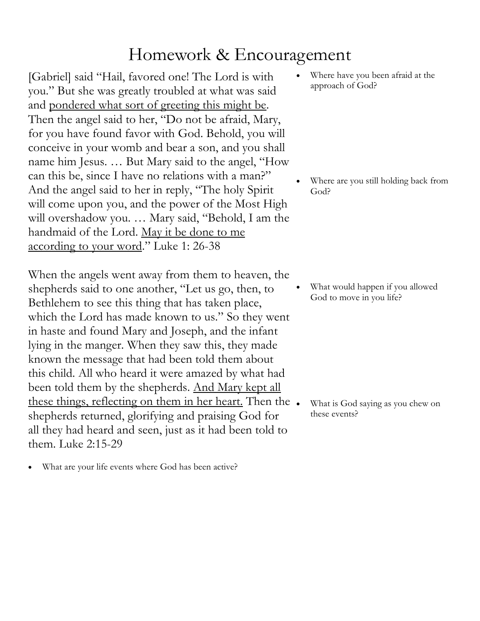## Homework & Encouragement

[Gabriel] said "Hail, favored one! The Lord is with you." But she was greatly troubled at what was said and pondered what sort of greeting this might be. Then the angel said to her, "Do not be afraid, Mary, for you have found favor with God. Behold, you will conceive in your womb and bear a son, and you shall name him Jesus. … But Mary said to the angel, "How can this be, since I have no relations with a man?" And the angel said to her in reply, "The holy Spirit will come upon you, and the power of the Most High will overshadow you. … Mary said, "Behold, I am the handmaid of the Lord. May it be done to me according to your word." Luke 1: 26-38

When the angels went away from them to heaven, the shepherds said to one another, "Let us go, then, to Bethlehem to see this thing that has taken place, which the Lord has made known to us." So they went in haste and found Mary and Joseph, and the infant lying in the manger. When they saw this, they made known the message that had been told them about this child. All who heard it were amazed by what had been told them by the shepherds. And Mary kept all these things, reflecting on them in her heart. Then the. shepherds returned, glorifying and praising God for all they had heard and seen, just as it had been told to them. Luke 2:15-29

What are your life events where God has been active?

Where have you been afraid at the approach of God?

Where are you still holding back from God?

• What would happen if you allowed God to move in you life?

What is God saying as you chew on these events?